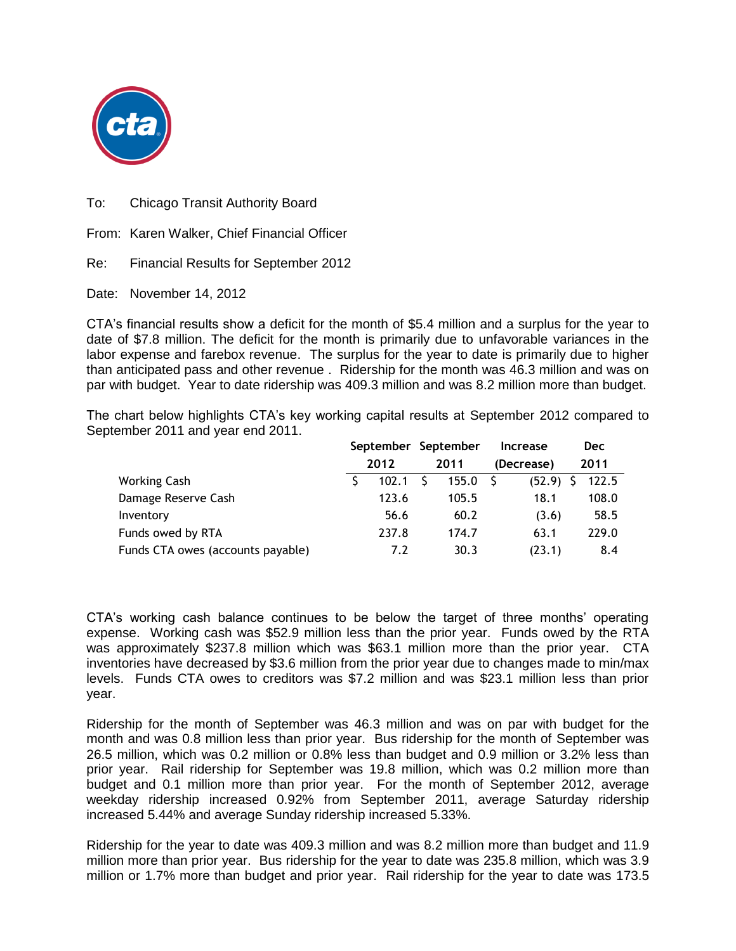

To: Chicago Transit Authority Board

From: Karen Walker, Chief Financial Officer

Re: Financial Results for September 2012

Date: November 14, 2012

CTA's financial results show a deficit for the month of \$5.4 million and a surplus for the year to date of \$7.8 million. The deficit for the month is primarily due to unfavorable variances in the labor expense and farebox revenue. The surplus for the year to date is primarily due to higher than anticipated pass and other revenue . Ridership for the month was 46.3 million and was on par with budget. Year to date ridership was 409.3 million and was 8.2 million more than budget.

The chart below highlights CTA's key working capital results at September 2012 compared to September 2011 and year end 2011.

|                                   | 2012 |       | September September<br>2011 |       | <b>Increase</b> | <b>Dec</b> |
|-----------------------------------|------|-------|-----------------------------|-------|-----------------|------------|
|                                   |      |       |                             |       | (Decrease)      | 2011       |
| <b>Working Cash</b>               |      | 102.1 |                             | 155.0 | (52.9)          | 122.5      |
| Damage Reserve Cash               |      | 123.6 |                             | 105.5 | 18.1            | 108.0      |
| Inventory                         |      | 56.6  |                             | 60.2  | (3.6)           | 58.5       |
| Funds owed by RTA                 |      | 237.8 |                             | 174.7 | 63.1            | 229.0      |
| Funds CTA owes (accounts payable) |      | 7.2   |                             | 30.3  | (23.1)          | 8.4        |

CTA's working cash balance continues to be below the target of three months' operating expense. Working cash was \$52.9 million less than the prior year. Funds owed by the RTA was approximately \$237.8 million which was \$63.1 million more than the prior year. CTA inventories have decreased by \$3.6 million from the prior year due to changes made to min/max levels. Funds CTA owes to creditors was \$7.2 million and was \$23.1 million less than prior year.

Ridership for the month of September was 46.3 million and was on par with budget for the month and was 0.8 million less than prior year. Bus ridership for the month of September was 26.5 million, which was 0.2 million or 0.8% less than budget and 0.9 million or 3.2% less than prior year. Rail ridership for September was 19.8 million, which was 0.2 million more than budget and 0.1 million more than prior year. For the month of September 2012, average weekday ridership increased 0.92% from September 2011, average Saturday ridership increased 5.44% and average Sunday ridership increased 5.33%.

Ridership for the year to date was 409.3 million and was 8.2 million more than budget and 11.9 million more than prior year. Bus ridership for the year to date was 235.8 million, which was 3.9 million or 1.7% more than budget and prior year. Rail ridership for the year to date was 173.5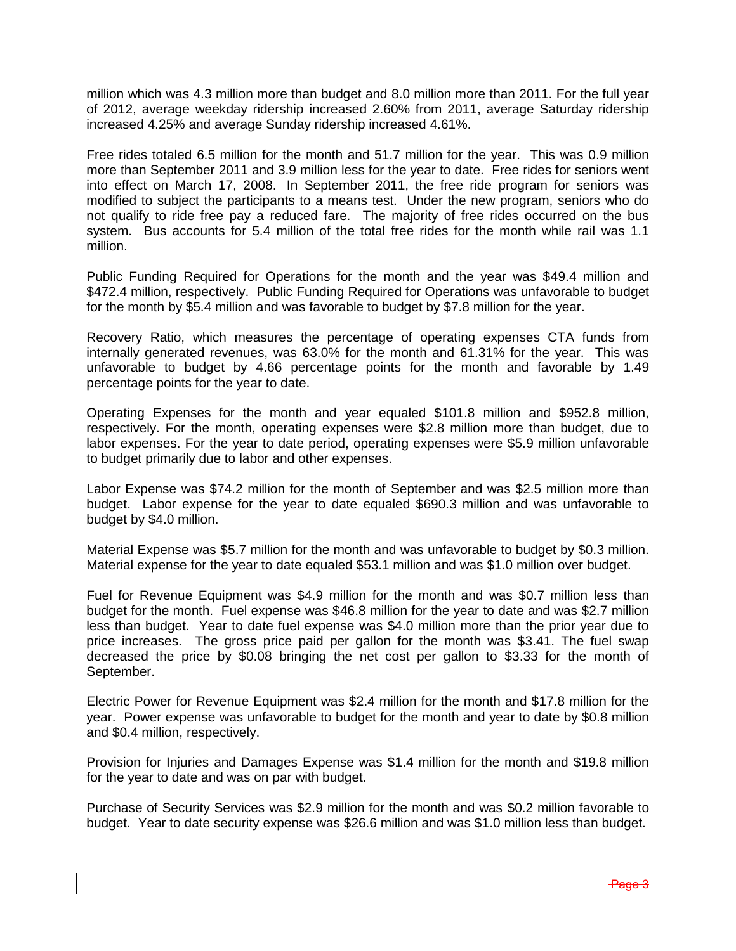million which was 4.3 million more than budget and 8.0 million more than 2011. For the full year of 2012, average weekday ridership increased 2.60% from 2011, average Saturday ridership increased 4.25% and average Sunday ridership increased 4.61%.

Free rides totaled 6.5 million for the month and 51.7 million for the year. This was 0.9 million more than September 2011 and 3.9 million less for the year to date. Free rides for seniors went into effect on March 17, 2008. In September 2011, the free ride program for seniors was modified to subject the participants to a means test. Under the new program, seniors who do not qualify to ride free pay a reduced fare. The majority of free rides occurred on the bus system. Bus accounts for 5.4 million of the total free rides for the month while rail was 1.1 million.

Public Funding Required for Operations for the month and the year was \$49.4 million and \$472.4 million, respectively. Public Funding Required for Operations was unfavorable to budget for the month by \$5.4 million and was favorable to budget by \$7.8 million for the year.

Recovery Ratio, which measures the percentage of operating expenses CTA funds from internally generated revenues, was 63.0% for the month and 61.31% for the year. This was unfavorable to budget by 4.66 percentage points for the month and favorable by 1.49 percentage points for the year to date.

Operating Expenses for the month and year equaled \$101.8 million and \$952.8 million, respectively. For the month, operating expenses were \$2.8 million more than budget, due to labor expenses. For the year to date period, operating expenses were \$5.9 million unfavorable to budget primarily due to labor and other expenses.

Labor Expense was \$74.2 million for the month of September and was \$2.5 million more than budget. Labor expense for the year to date equaled \$690.3 million and was unfavorable to budget by \$4.0 million.

Material Expense was \$5.7 million for the month and was unfavorable to budget by \$0.3 million. Material expense for the year to date equaled \$53.1 million and was \$1.0 million over budget.

Fuel for Revenue Equipment was \$4.9 million for the month and was \$0.7 million less than budget for the month. Fuel expense was \$46.8 million for the year to date and was \$2.7 million less than budget. Year to date fuel expense was \$4.0 million more than the prior year due to price increases. The gross price paid per gallon for the month was \$3.41. The fuel swap decreased the price by \$0.08 bringing the net cost per gallon to \$3.33 for the month of September.

Electric Power for Revenue Equipment was \$2.4 million for the month and \$17.8 million for the year. Power expense was unfavorable to budget for the month and year to date by \$0.8 million and \$0.4 million, respectively.

Provision for Injuries and Damages Expense was \$1.4 million for the month and \$19.8 million for the year to date and was on par with budget.

Purchase of Security Services was \$2.9 million for the month and was \$0.2 million favorable to budget. Year to date security expense was \$26.6 million and was \$1.0 million less than budget.